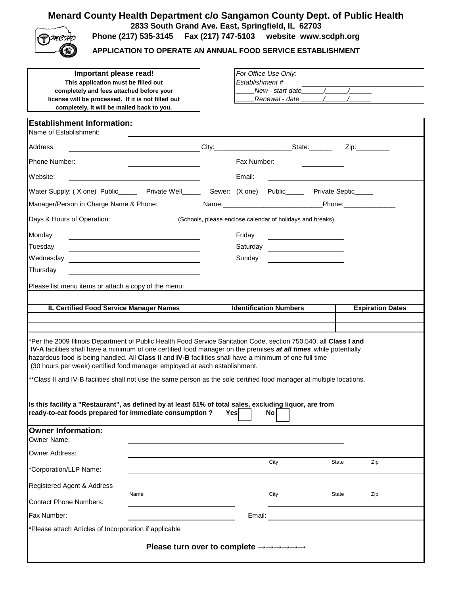## **Menard County Health Department c/o Sangamon County Dept. of Public Health 2833 South Grand Ave. East, Springfield, IL 62703**



**Phone (217) 535-3145 Fax (217) 747-5103 website www.scdph.org**

**APPLICATION TO OPERATE AN ANNUAL FOOD SERVICE ESTABLISHMENT**

| Important please read!<br>This application must be filled out<br>completely and fees attached before your<br>license will be processed. If it is not filled out<br>completely, it will be mailed back to you.                                                                                                                                                                                                                                                                                                                                                    |                                                                                                                     |  | Establishment#   | For Office Use Only:<br>New - start date $\sqrt{2\pi}$<br>Renewal - date |  |       |                         |
|------------------------------------------------------------------------------------------------------------------------------------------------------------------------------------------------------------------------------------------------------------------------------------------------------------------------------------------------------------------------------------------------------------------------------------------------------------------------------------------------------------------------------------------------------------------|---------------------------------------------------------------------------------------------------------------------|--|------------------|--------------------------------------------------------------------------|--|-------|-------------------------|
| <b>Establishment Information:</b><br>Name of Establishment:                                                                                                                                                                                                                                                                                                                                                                                                                                                                                                      |                                                                                                                     |  |                  |                                                                          |  |       |                         |
| Address:                                                                                                                                                                                                                                                                                                                                                                                                                                                                                                                                                         | <u> 1980 - Johann John Stone, markin samti samti samti samti samti samti samti samti samti samti samti samti sa</u> |  |                  |                                                                          |  | Zip:  |                         |
| Phone Number:                                                                                                                                                                                                                                                                                                                                                                                                                                                                                                                                                    |                                                                                                                     |  | Fax Number:      |                                                                          |  |       |                         |
| Website:                                                                                                                                                                                                                                                                                                                                                                                                                                                                                                                                                         |                                                                                                                     |  | Email:           |                                                                          |  |       |                         |
| Water Supply: (X one) Public______ Private Well_____ Sewer: (X one) Public_____ Private Septic_____                                                                                                                                                                                                                                                                                                                                                                                                                                                              |                                                                                                                     |  |                  |                                                                          |  |       |                         |
| Manager/Person in Charge Name & Phone:                                                                                                                                                                                                                                                                                                                                                                                                                                                                                                                           |                                                                                                                     |  |                  |                                                                          |  |       |                         |
| Days & Hours of Operation:                                                                                                                                                                                                                                                                                                                                                                                                                                                                                                                                       |                                                                                                                     |  |                  | (Schools, please enclose calendar of holidays and breaks)                |  |       |                         |
| Monday<br>Tuesday<br>Wednesday<br>Thursday<br>Please list menu items or attach a copy of the menu:                                                                                                                                                                                                                                                                                                                                                                                                                                                               |                                                                                                                     |  | Friday<br>Sunday | Saturday _______________________                                         |  |       |                         |
| IL Certified Food Service Manager Names                                                                                                                                                                                                                                                                                                                                                                                                                                                                                                                          |                                                                                                                     |  |                  | <b>Identification Numbers</b>                                            |  |       | <b>Expiration Dates</b> |
|                                                                                                                                                                                                                                                                                                                                                                                                                                                                                                                                                                  |                                                                                                                     |  |                  |                                                                          |  |       |                         |
| *Per the 2009 Illinois Department of Public Health Food Service Sanitation Code, section 750.540, all Class I and<br><b>IV-A</b> facilities shall have a minimum of one certified food manager on the premises at all times while potentially<br>hazardous food is being handled. All Class II and IV-B facilities shall have a minimum of one full time<br>(30 hours per week) certified food manager employed at each establishment.<br>**Class II and IV-B facilities shall not use the same person as the sole certified food manager at multiple locations. |                                                                                                                     |  |                  |                                                                          |  |       |                         |
| Is this facility a "Restaurant", as defined by at least 51% of total sales, excluding liquor, are from<br>ready-to-eat foods prepared for immediate consumption?<br>Yesl<br>No l                                                                                                                                                                                                                                                                                                                                                                                 |                                                                                                                     |  |                  |                                                                          |  |       |                         |
| <b>Owner Information:</b><br>Owner Name:                                                                                                                                                                                                                                                                                                                                                                                                                                                                                                                         |                                                                                                                     |  |                  |                                                                          |  |       |                         |
| Owner Address:                                                                                                                                                                                                                                                                                                                                                                                                                                                                                                                                                   |                                                                                                                     |  |                  |                                                                          |  |       |                         |
| *Corporation/LLP Name:                                                                                                                                                                                                                                                                                                                                                                                                                                                                                                                                           |                                                                                                                     |  |                  | City                                                                     |  | State | Zip                     |
| Registered Agent & Address                                                                                                                                                                                                                                                                                                                                                                                                                                                                                                                                       |                                                                                                                     |  |                  |                                                                          |  |       |                         |
| <b>Contact Phone Numbers:</b>                                                                                                                                                                                                                                                                                                                                                                                                                                                                                                                                    | Name                                                                                                                |  |                  | City                                                                     |  | State | Zip                     |
| Fax Number:                                                                                                                                                                                                                                                                                                                                                                                                                                                                                                                                                      |                                                                                                                     |  | Email:           |                                                                          |  |       |                         |
| *Please attach Articles of Incorporation if applicable                                                                                                                                                                                                                                                                                                                                                                                                                                                                                                           |                                                                                                                     |  |                  |                                                                          |  |       |                         |
| Please turn over to complete $\rightarrow \rightarrow \rightarrow \rightarrow \rightarrow \rightarrow$                                                                                                                                                                                                                                                                                                                                                                                                                                                           |                                                                                                                     |  |                  |                                                                          |  |       |                         |